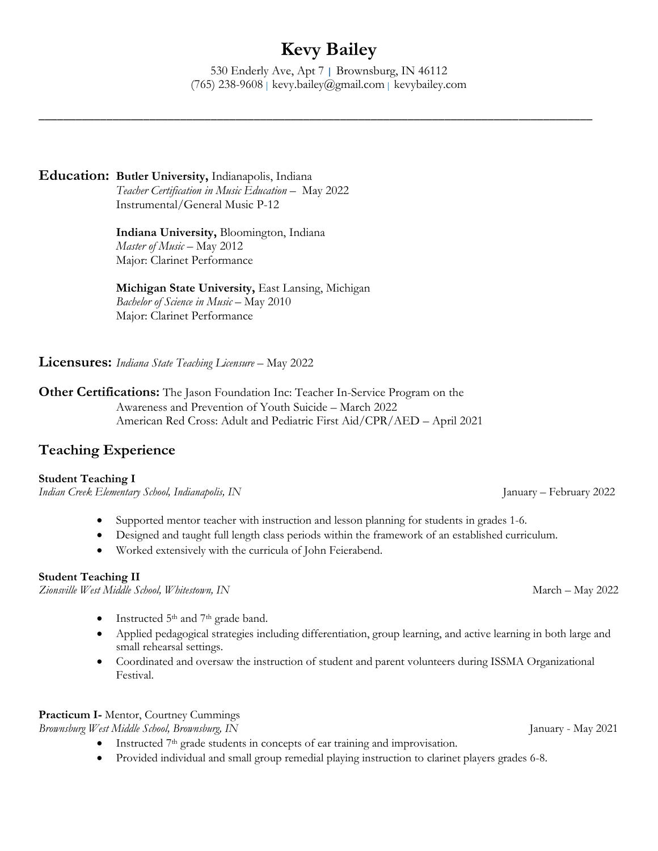# **Kevy Bailey**

530 Enderly Ave, Apt 7 | Brownsburg, IN 46112 (765) 238-9608 | kevy.bailey@gmail.com | kevybailey.com

\_\_\_\_\_\_\_\_\_\_\_\_\_\_\_\_\_\_\_\_\_\_\_\_\_\_\_\_\_\_\_\_\_\_\_\_\_\_\_\_\_\_\_\_\_\_\_\_\_\_\_\_\_\_\_\_\_\_\_\_\_\_\_\_\_\_\_\_\_\_\_\_\_\_\_\_\_\_\_\_\_\_\_\_\_\_\_\_\_\_

### **Education: Butler University,** Indianapolis, Indiana

*Teacher Certification in Music Education* – May 2022 Instrumental/General Music P-12

**Indiana University,** Bloomington, Indiana *Master of Music –* May 2012 Major: Clarinet Performance

#### **Michigan State University,** East Lansing, Michigan *Bachelor of Science in Music –* May 2010 Major: Clarinet Performance

**Licensures:** *Indiana State Teaching Licensure* – May 2022

**Other Certifications:** The Jason Foundation Inc: Teacher In-Service Program on the Awareness and Prevention of Youth Suicide – March 2022 American Red Cross: Adult and Pediatric First Aid/CPR/AED – April 2021

## **Teaching Experience**

#### **Student Teaching I**

*Indian Creek Elementary School, Indianapolis, IN* January – February 2022

- Supported mentor teacher with instruction and lesson planning for students in grades 1-6.
- Designed and taught full length class periods within the framework of an established curriculum.
- Worked extensively with the curricula of John Feierabend.

#### **Student Teaching II**

*Zionsville West Middle School, Whitestown, IN* March – May 2022

- Instructed 5<sup>th</sup> and 7<sup>th</sup> grade band.
- Applied pedagogical strategies including differentiation, group learning, and active learning in both large and small rehearsal settings.
- Coordinated and oversaw the instruction of student and parent volunteers during ISSMA Organizational Festival.

## **Practicum I-** Mentor, Courtney Cummings

*Brownsburg West Middle School, Brownsburg, IN* January - May 2021

- Instructed 7<sup>th</sup> grade students in concepts of ear training and improvisation.
- Provided individual and small group remedial playing instruction to clarinet players grades 6-8.